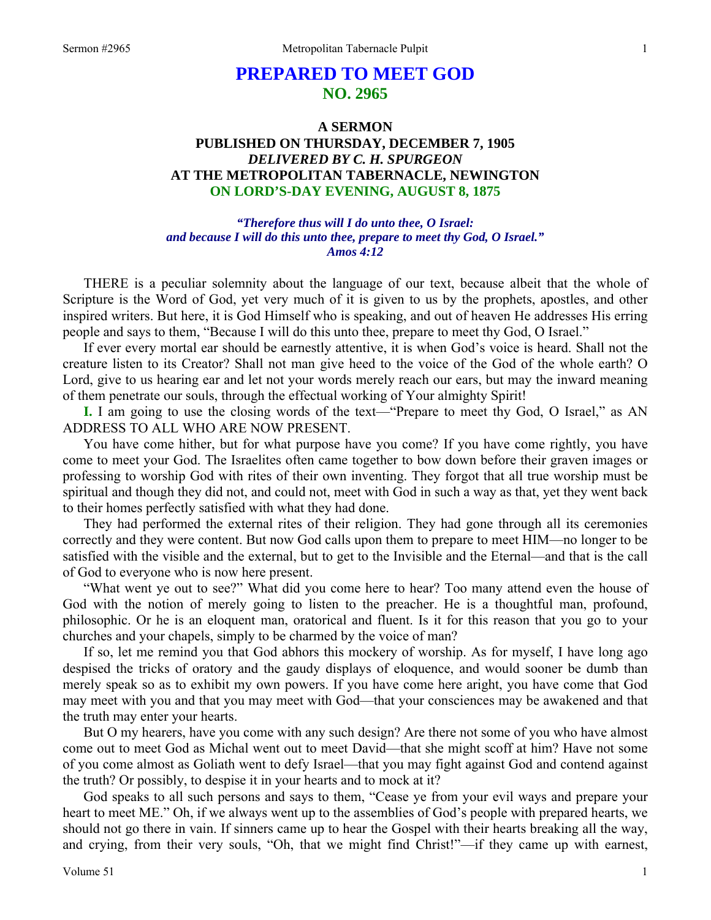# **PREPARED TO MEET GOD NO. 2965**

# **A SERMON PUBLISHED ON THURSDAY, DECEMBER 7, 1905**  *DELIVERED BY C. H. SPURGEON*  **AT THE METROPOLITAN TABERNACLE, NEWINGTON ON LORD'S-DAY EVENING, AUGUST 8, 1875**

*"Therefore thus will I do unto thee, O Israel: and because I will do this unto thee, prepare to meet thy God, O Israel." Amos 4:12* 

THERE is a peculiar solemnity about the language of our text, because albeit that the whole of Scripture is the Word of God, yet very much of it is given to us by the prophets, apostles, and other inspired writers. But here, it is God Himself who is speaking, and out of heaven He addresses His erring people and says to them, "Because I will do this unto thee, prepare to meet thy God, O Israel."

 If ever every mortal ear should be earnestly attentive, it is when God's voice is heard. Shall not the creature listen to its Creator? Shall not man give heed to the voice of the God of the whole earth? O Lord, give to us hearing ear and let not your words merely reach our ears, but may the inward meaning of them penetrate our souls, through the effectual working of Your almighty Spirit!

**I.** I am going to use the closing words of the text—"Prepare to meet thy God, O Israel," as AN ADDRESS TO ALL WHO ARE NOW PRESENT.

 You have come hither, but for what purpose have you come? If you have come rightly, you have come to meet your God. The Israelites often came together to bow down before their graven images or professing to worship God with rites of their own inventing. They forgot that all true worship must be spiritual and though they did not, and could not, meet with God in such a way as that, yet they went back to their homes perfectly satisfied with what they had done.

 They had performed the external rites of their religion. They had gone through all its ceremonies correctly and they were content. But now God calls upon them to prepare to meet HIM—no longer to be satisfied with the visible and the external, but to get to the Invisible and the Eternal—and that is the call of God to everyone who is now here present.

 "What went ye out to see?" What did you come here to hear? Too many attend even the house of God with the notion of merely going to listen to the preacher. He is a thoughtful man, profound, philosophic. Or he is an eloquent man, oratorical and fluent. Is it for this reason that you go to your churches and your chapels, simply to be charmed by the voice of man?

 If so, let me remind you that God abhors this mockery of worship. As for myself, I have long ago despised the tricks of oratory and the gaudy displays of eloquence, and would sooner be dumb than merely speak so as to exhibit my own powers. If you have come here aright, you have come that God may meet with you and that you may meet with God—that your consciences may be awakened and that the truth may enter your hearts.

 But O my hearers, have you come with any such design? Are there not some of you who have almost come out to meet God as Michal went out to meet David—that she might scoff at him? Have not some of you come almost as Goliath went to defy Israel—that you may fight against God and contend against the truth? Or possibly, to despise it in your hearts and to mock at it?

 God speaks to all such persons and says to them, "Cease ye from your evil ways and prepare your heart to meet ME." Oh, if we always went up to the assemblies of God's people with prepared hearts, we should not go there in vain. If sinners came up to hear the Gospel with their hearts breaking all the way, and crying, from their very souls, "Oh, that we might find Christ!"—if they came up with earnest,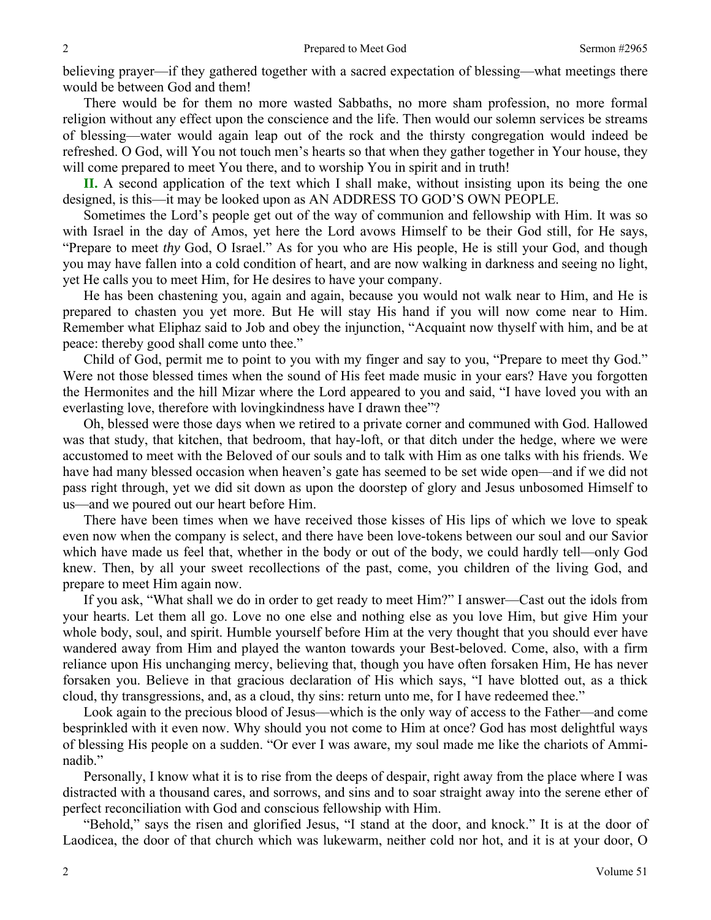believing prayer—if they gathered together with a sacred expectation of blessing—what meetings there would be between God and them!

 There would be for them no more wasted Sabbaths, no more sham profession, no more formal religion without any effect upon the conscience and the life. Then would our solemn services be streams of blessing—water would again leap out of the rock and the thirsty congregation would indeed be refreshed. O God, will You not touch men's hearts so that when they gather together in Your house, they will come prepared to meet You there, and to worship You in spirit and in truth!

**II.** A second application of the text which I shall make, without insisting upon its being the one designed, is this—it may be looked upon as AN ADDRESS TO GOD'S OWN PEOPLE.

 Sometimes the Lord's people get out of the way of communion and fellowship with Him. It was so with Israel in the day of Amos, yet here the Lord avows Himself to be their God still, for He says, "Prepare to meet *thy* God, O Israel." As for you who are His people, He is still your God, and though you may have fallen into a cold condition of heart, and are now walking in darkness and seeing no light, yet He calls you to meet Him, for He desires to have your company.

 He has been chastening you, again and again, because you would not walk near to Him, and He is prepared to chasten you yet more. But He will stay His hand if you will now come near to Him. Remember what Eliphaz said to Job and obey the injunction, "Acquaint now thyself with him, and be at peace: thereby good shall come unto thee."

 Child of God, permit me to point to you with my finger and say to you, "Prepare to meet thy God." Were not those blessed times when the sound of His feet made music in your ears? Have you forgotten the Hermonites and the hill Mizar where the Lord appeared to you and said, "I have loved you with an everlasting love, therefore with lovingkindness have I drawn thee"?

 Oh, blessed were those days when we retired to a private corner and communed with God. Hallowed was that study, that kitchen, that bedroom, that hay-loft, or that ditch under the hedge, where we were accustomed to meet with the Beloved of our souls and to talk with Him as one talks with his friends. We have had many blessed occasion when heaven's gate has seemed to be set wide open—and if we did not pass right through, yet we did sit down as upon the doorstep of glory and Jesus unbosomed Himself to us—and we poured out our heart before Him.

 There have been times when we have received those kisses of His lips of which we love to speak even now when the company is select, and there have been love-tokens between our soul and our Savior which have made us feel that, whether in the body or out of the body, we could hardly tell—only God knew. Then, by all your sweet recollections of the past, come, you children of the living God, and prepare to meet Him again now.

 If you ask, "What shall we do in order to get ready to meet Him?" I answer—Cast out the idols from your hearts. Let them all go. Love no one else and nothing else as you love Him, but give Him your whole body, soul, and spirit. Humble yourself before Him at the very thought that you should ever have wandered away from Him and played the wanton towards your Best-beloved. Come, also, with a firm reliance upon His unchanging mercy, believing that, though you have often forsaken Him, He has never forsaken you. Believe in that gracious declaration of His which says, "I have blotted out, as a thick cloud, thy transgressions, and, as a cloud, thy sins: return unto me, for I have redeemed thee."

 Look again to the precious blood of Jesus—which is the only way of access to the Father—and come besprinkled with it even now. Why should you not come to Him at once? God has most delightful ways of blessing His people on a sudden. "Or ever I was aware, my soul made me like the chariots of Amminadib."

 Personally, I know what it is to rise from the deeps of despair, right away from the place where I was distracted with a thousand cares, and sorrows, and sins and to soar straight away into the serene ether of perfect reconciliation with God and conscious fellowship with Him.

 "Behold," says the risen and glorified Jesus, "I stand at the door, and knock." It is at the door of Laodicea, the door of that church which was lukewarm, neither cold nor hot, and it is at your door, O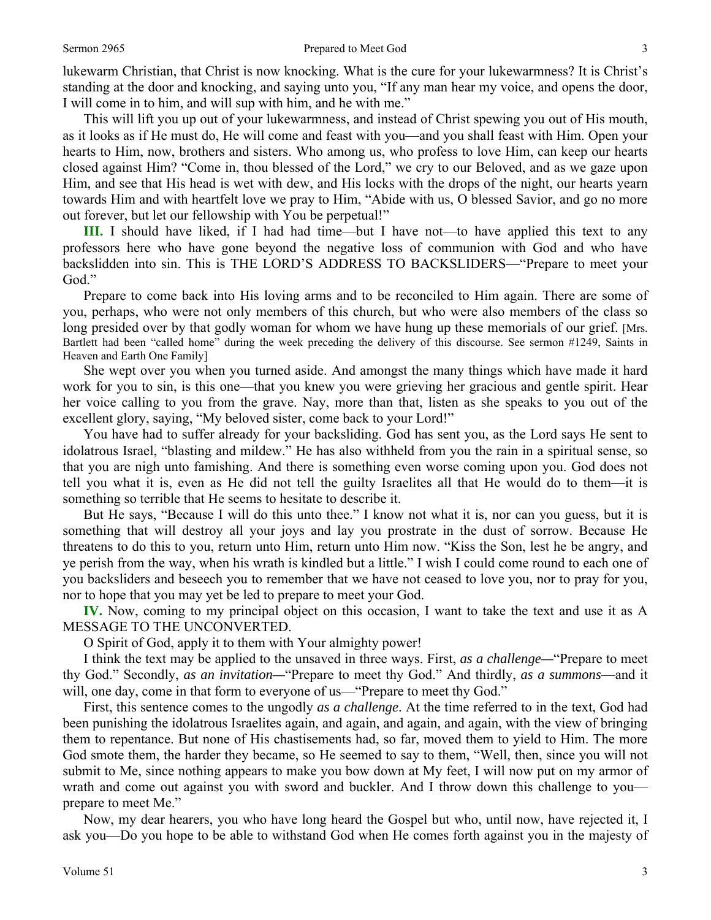lukewarm Christian, that Christ is now knocking. What is the cure for your lukewarmness? It is Christ's standing at the door and knocking, and saying unto you, "If any man hear my voice, and opens the door, I will come in to him, and will sup with him, and he with me."

 This will lift you up out of your lukewarmness, and instead of Christ spewing you out of His mouth, as it looks as if He must do, He will come and feast with you—and you shall feast with Him. Open your hearts to Him, now, brothers and sisters. Who among us, who profess to love Him, can keep our hearts closed against Him? "Come in, thou blessed of the Lord," we cry to our Beloved, and as we gaze upon Him, and see that His head is wet with dew, and His locks with the drops of the night, our hearts yearn towards Him and with heartfelt love we pray to Him, "Abide with us, O blessed Savior, and go no more out forever, but let our fellowship with You be perpetual!"

**III.** I should have liked, if I had had time—but I have not—to have applied this text to any professors here who have gone beyond the negative loss of communion with God and who have backslidden into sin. This is THE LORD'S ADDRESS TO BACKSLIDERS—"Prepare to meet your God."

 Prepare to come back into His loving arms and to be reconciled to Him again. There are some of you, perhaps, who were not only members of this church, but who were also members of the class so long presided over by that godly woman for whom we have hung up these memorials of our grief. [Mrs.] Bartlett had been "called home" during the week preceding the delivery of this discourse. See sermon #1249, Saints in Heaven and Earth One Family]

 She wept over you when you turned aside. And amongst the many things which have made it hard work for you to sin, is this one—that you knew you were grieving her gracious and gentle spirit. Hear her voice calling to you from the grave. Nay, more than that, listen as she speaks to you out of the excellent glory, saying, "My beloved sister, come back to your Lord!"

 You have had to suffer already for your backsliding. God has sent you, as the Lord says He sent to idolatrous Israel, "blasting and mildew." He has also withheld from you the rain in a spiritual sense, so that you are nigh unto famishing. And there is something even worse coming upon you. God does not tell you what it is, even as He did not tell the guilty Israelites all that He would do to them—it is something so terrible that He seems to hesitate to describe it.

 But He says, "Because I will do this unto thee." I know not what it is, nor can you guess, but it is something that will destroy all your joys and lay you prostrate in the dust of sorrow. Because He threatens to do this to you, return unto Him, return unto Him now. "Kiss the Son, lest he be angry, and ye perish from the way, when his wrath is kindled but a little." I wish I could come round to each one of you backsliders and beseech you to remember that we have not ceased to love you, nor to pray for you, nor to hope that you may yet be led to prepare to meet your God.

**IV.** Now, coming to my principal object on this occasion, I want to take the text and use it as A MESSAGE TO THE UNCONVERTED.

O Spirit of God, apply it to them with Your almighty power!

 I think the text may be applied to the unsaved in three ways. First, *as a challenge—*"Prepare to meet thy God." Secondly, *as an invitation—*"Prepare to meet thy God." And thirdly, *as a summons*—and it will, one day, come in that form to everyone of us—"Prepare to meet thy God."

 First, this sentence comes to the ungodly *as a challenge*. At the time referred to in the text, God had been punishing the idolatrous Israelites again, and again, and again, and again, with the view of bringing them to repentance. But none of His chastisements had, so far, moved them to yield to Him. The more God smote them, the harder they became, so He seemed to say to them, "Well, then, since you will not submit to Me, since nothing appears to make you bow down at My feet, I will now put on my armor of wrath and come out against you with sword and buckler. And I throw down this challenge to you prepare to meet Me."

 Now, my dear hearers, you who have long heard the Gospel but who, until now, have rejected it, I ask you—Do you hope to be able to withstand God when He comes forth against you in the majesty of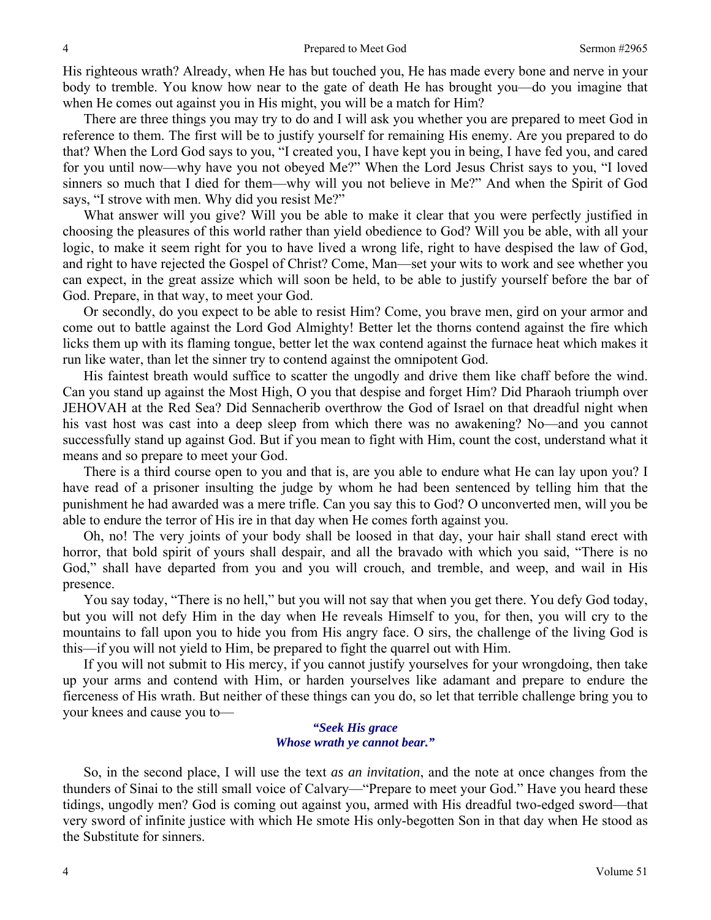His righteous wrath? Already, when He has but touched you, He has made every bone and nerve in your body to tremble. You know how near to the gate of death He has brought you—do you imagine that when He comes out against you in His might, you will be a match for Him?

 There are three things you may try to do and I will ask you whether you are prepared to meet God in reference to them. The first will be to justify yourself for remaining His enemy. Are you prepared to do that? When the Lord God says to you, "I created you, I have kept you in being, I have fed you, and cared for you until now—why have you not obeyed Me?" When the Lord Jesus Christ says to you, "I loved sinners so much that I died for them—why will you not believe in Me?" And when the Spirit of God says, "I strove with men. Why did you resist Me?"

 What answer will you give? Will you be able to make it clear that you were perfectly justified in choosing the pleasures of this world rather than yield obedience to God? Will you be able, with all your logic, to make it seem right for you to have lived a wrong life, right to have despised the law of God, and right to have rejected the Gospel of Christ? Come, Man—set your wits to work and see whether you can expect, in the great assize which will soon be held, to be able to justify yourself before the bar of God. Prepare, in that way, to meet your God.

 Or secondly, do you expect to be able to resist Him? Come, you brave men, gird on your armor and come out to battle against the Lord God Almighty! Better let the thorns contend against the fire which licks them up with its flaming tongue, better let the wax contend against the furnace heat which makes it run like water, than let the sinner try to contend against the omnipotent God.

 His faintest breath would suffice to scatter the ungodly and drive them like chaff before the wind. Can you stand up against the Most High, O you that despise and forget Him? Did Pharaoh triumph over JEHOVAH at the Red Sea? Did Sennacherib overthrow the God of Israel on that dreadful night when his vast host was cast into a deep sleep from which there was no awakening? No—and you cannot successfully stand up against God. But if you mean to fight with Him, count the cost, understand what it means and so prepare to meet your God.

 There is a third course open to you and that is, are you able to endure what He can lay upon you? I have read of a prisoner insulting the judge by whom he had been sentenced by telling him that the punishment he had awarded was a mere trifle. Can you say this to God? O unconverted men, will you be able to endure the terror of His ire in that day when He comes forth against you.

 Oh, no! The very joints of your body shall be loosed in that day, your hair shall stand erect with horror, that bold spirit of yours shall despair, and all the bravado with which you said, "There is no God," shall have departed from you and you will crouch, and tremble, and weep, and wail in His presence.

 You say today, "There is no hell," but you will not say that when you get there. You defy God today, but you will not defy Him in the day when He reveals Himself to you, for then, you will cry to the mountains to fall upon you to hide you from His angry face. O sirs, the challenge of the living God is this—if you will not yield to Him, be prepared to fight the quarrel out with Him.

 If you will not submit to His mercy, if you cannot justify yourselves for your wrongdoing, then take up your arms and contend with Him, or harden yourselves like adamant and prepare to endure the fierceness of His wrath. But neither of these things can you do, so let that terrible challenge bring you to your knees and cause you to—

## *"Seek His grace Whose wrath ye cannot bear."*

So, in the second place, I will use the text *as an invitation*, and the note at once changes from the thunders of Sinai to the still small voice of Calvary—"Prepare to meet your God." Have you heard these tidings, ungodly men? God is coming out against you, armed with His dreadful two-edged sword—that very sword of infinite justice with which He smote His only-begotten Son in that day when He stood as the Substitute for sinners.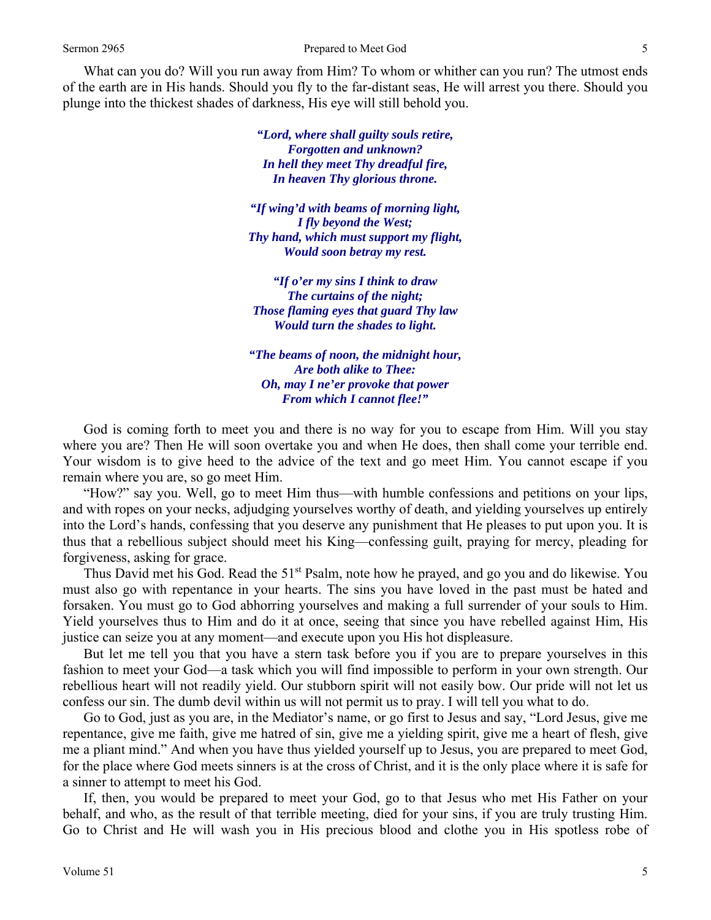What can you do? Will you run away from Him? To whom or whither can you run? The utmost ends of the earth are in His hands. Should you fly to the far-distant seas, He will arrest you there. Should you plunge into the thickest shades of darkness, His eye will still behold you.

> *"Lord, where shall guilty souls retire, Forgotten and unknown? In hell they meet Thy dreadful fire, In heaven Thy glorious throne.*

*"If wing'd with beams of morning light, I fly beyond the West; Thy hand, which must support my flight, Would soon betray my rest.* 

*"If o'er my sins I think to draw The curtains of the night; Those flaming eyes that guard Thy law Would turn the shades to light.* 

*"The beams of noon, the midnight hour, Are both alike to Thee: Oh, may I ne'er provoke that power From which I cannot flee!"* 

 God is coming forth to meet you and there is no way for you to escape from Him. Will you stay where you are? Then He will soon overtake you and when He does, then shall come your terrible end. Your wisdom is to give heed to the advice of the text and go meet Him. You cannot escape if you remain where you are, so go meet Him.

 "How?" say you. Well, go to meet Him thus—with humble confessions and petitions on your lips, and with ropes on your necks, adjudging yourselves worthy of death, and yielding yourselves up entirely into the Lord's hands, confessing that you deserve any punishment that He pleases to put upon you. It is thus that a rebellious subject should meet his King—confessing guilt, praying for mercy, pleading for forgiveness, asking for grace.

Thus David met his God. Read the 51<sup>st</sup> Psalm, note how he prayed, and go you and do likewise. You must also go with repentance in your hearts. The sins you have loved in the past must be hated and forsaken. You must go to God abhorring yourselves and making a full surrender of your souls to Him. Yield yourselves thus to Him and do it at once, seeing that since you have rebelled against Him, His justice can seize you at any moment—and execute upon you His hot displeasure.

 But let me tell you that you have a stern task before you if you are to prepare yourselves in this fashion to meet your God—a task which you will find impossible to perform in your own strength. Our rebellious heart will not readily yield. Our stubborn spirit will not easily bow. Our pride will not let us confess our sin. The dumb devil within us will not permit us to pray. I will tell you what to do.

 Go to God, just as you are, in the Mediator's name, or go first to Jesus and say, "Lord Jesus, give me repentance, give me faith, give me hatred of sin, give me a yielding spirit, give me a heart of flesh, give me a pliant mind." And when you have thus yielded yourself up to Jesus, you are prepared to meet God, for the place where God meets sinners is at the cross of Christ, and it is the only place where it is safe for a sinner to attempt to meet his God.

 If, then, you would be prepared to meet your God, go to that Jesus who met His Father on your behalf, and who, as the result of that terrible meeting, died for your sins, if you are truly trusting Him. Go to Christ and He will wash you in His precious blood and clothe you in His spotless robe of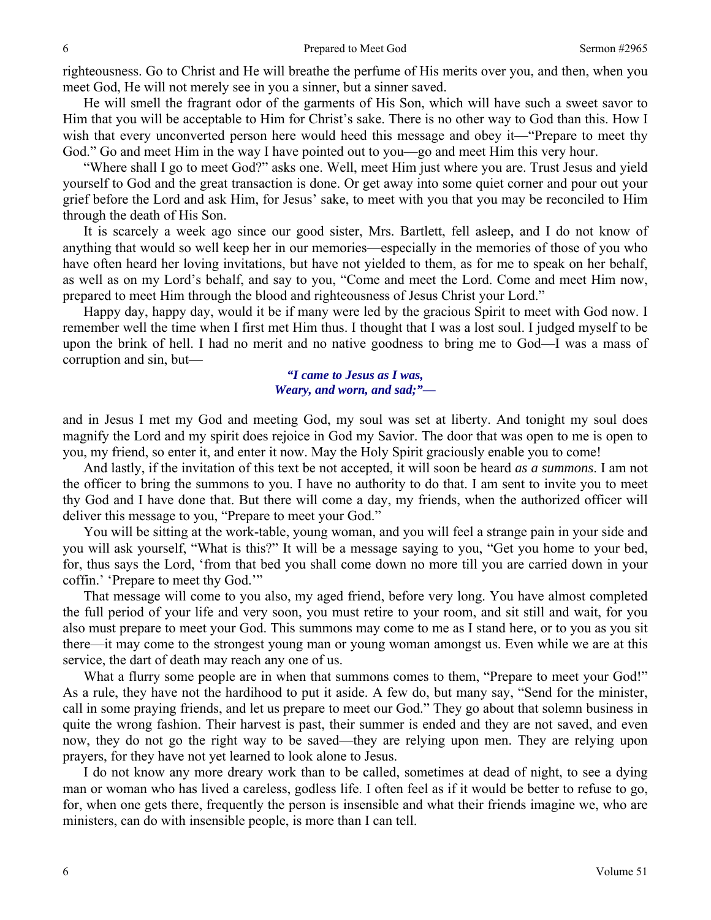righteousness. Go to Christ and He will breathe the perfume of His merits over you, and then, when you meet God, He will not merely see in you a sinner, but a sinner saved.

 He will smell the fragrant odor of the garments of His Son, which will have such a sweet savor to Him that you will be acceptable to Him for Christ's sake. There is no other way to God than this. How I wish that every unconverted person here would heed this message and obey it—"Prepare to meet thy God." Go and meet Him in the way I have pointed out to you—go and meet Him this very hour.

 "Where shall I go to meet God?" asks one. Well, meet Him just where you are. Trust Jesus and yield yourself to God and the great transaction is done. Or get away into some quiet corner and pour out your grief before the Lord and ask Him, for Jesus' sake, to meet with you that you may be reconciled to Him through the death of His Son.

 It is scarcely a week ago since our good sister, Mrs. Bartlett, fell asleep, and I do not know of anything that would so well keep her in our memories—especially in the memories of those of you who have often heard her loving invitations, but have not yielded to them, as for me to speak on her behalf, as well as on my Lord's behalf, and say to you, "Come and meet the Lord. Come and meet Him now, prepared to meet Him through the blood and righteousness of Jesus Christ your Lord."

 Happy day, happy day, would it be if many were led by the gracious Spirit to meet with God now. I remember well the time when I first met Him thus. I thought that I was a lost soul. I judged myself to be upon the brink of hell. I had no merit and no native goodness to bring me to God—I was a mass of corruption and sin, but—

# *"I came to Jesus as I was, Weary, and worn, and sad;"—*

and in Jesus I met my God and meeting God, my soul was set at liberty. And tonight my soul does magnify the Lord and my spirit does rejoice in God my Savior. The door that was open to me is open to you, my friend, so enter it, and enter it now. May the Holy Spirit graciously enable you to come!

 And lastly, if the invitation of this text be not accepted, it will soon be heard *as a summons*. I am not the officer to bring the summons to you. I have no authority to do that. I am sent to invite you to meet thy God and I have done that. But there will come a day, my friends, when the authorized officer will deliver this message to you, "Prepare to meet your God."

 You will be sitting at the work-table, young woman, and you will feel a strange pain in your side and you will ask yourself, "What is this?" It will be a message saying to you, "Get you home to your bed, for, thus says the Lord, 'from that bed you shall come down no more till you are carried down in your coffin.' 'Prepare to meet thy God.'"

 That message will come to you also, my aged friend, before very long. You have almost completed the full period of your life and very soon, you must retire to your room, and sit still and wait, for you also must prepare to meet your God. This summons may come to me as I stand here, or to you as you sit there—it may come to the strongest young man or young woman amongst us. Even while we are at this service, the dart of death may reach any one of us.

What a flurry some people are in when that summons comes to them, "Prepare to meet your God!" As a rule, they have not the hardihood to put it aside. A few do, but many say, "Send for the minister, call in some praying friends, and let us prepare to meet our God." They go about that solemn business in quite the wrong fashion. Their harvest is past, their summer is ended and they are not saved, and even now, they do not go the right way to be saved—they are relying upon men. They are relying upon prayers, for they have not yet learned to look alone to Jesus.

 I do not know any more dreary work than to be called, sometimes at dead of night, to see a dying man or woman who has lived a careless, godless life. I often feel as if it would be better to refuse to go, for, when one gets there, frequently the person is insensible and what their friends imagine we, who are ministers, can do with insensible people, is more than I can tell.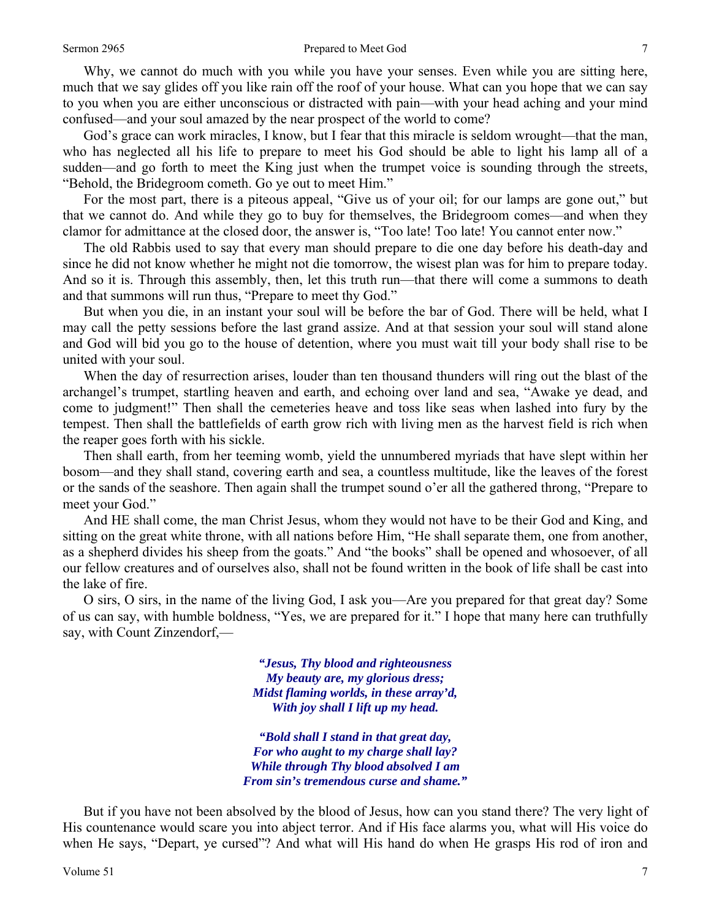#### Sermon 2965 **Prepared to Meet God** 7

 Why, we cannot do much with you while you have your senses. Even while you are sitting here, much that we say glides off you like rain off the roof of your house. What can you hope that we can say to you when you are either unconscious or distracted with pain—with your head aching and your mind confused—and your soul amazed by the near prospect of the world to come?

God's grace can work miracles, I know, but I fear that this miracle is seldom wrought—that the man, who has neglected all his life to prepare to meet his God should be able to light his lamp all of a sudden—and go forth to meet the King just when the trumpet voice is sounding through the streets, "Behold, the Bridegroom cometh. Go ye out to meet Him."

 For the most part, there is a piteous appeal, "Give us of your oil; for our lamps are gone out," but that we cannot do. And while they go to buy for themselves, the Bridegroom comes—and when they clamor for admittance at the closed door, the answer is, "Too late! Too late! You cannot enter now."

 The old Rabbis used to say that every man should prepare to die one day before his death-day and since he did not know whether he might not die tomorrow, the wisest plan was for him to prepare today. And so it is. Through this assembly, then, let this truth run—that there will come a summons to death and that summons will run thus, "Prepare to meet thy God."

 But when you die, in an instant your soul will be before the bar of God. There will be held, what I may call the petty sessions before the last grand assize. And at that session your soul will stand alone and God will bid you go to the house of detention, where you must wait till your body shall rise to be united with your soul.

 When the day of resurrection arises, louder than ten thousand thunders will ring out the blast of the archangel's trumpet, startling heaven and earth, and echoing over land and sea, "Awake ye dead, and come to judgment!" Then shall the cemeteries heave and toss like seas when lashed into fury by the tempest. Then shall the battlefields of earth grow rich with living men as the harvest field is rich when the reaper goes forth with his sickle.

 Then shall earth, from her teeming womb, yield the unnumbered myriads that have slept within her bosom—and they shall stand, covering earth and sea, a countless multitude, like the leaves of the forest or the sands of the seashore. Then again shall the trumpet sound o'er all the gathered throng, "Prepare to meet your God."

 And HE shall come, the man Christ Jesus, whom they would not have to be their God and King, and sitting on the great white throne, with all nations before Him, "He shall separate them, one from another, as a shepherd divides his sheep from the goats." And "the books" shall be opened and whosoever, of all our fellow creatures and of ourselves also, shall not be found written in the book of life shall be cast into the lake of fire.

 O sirs, O sirs, in the name of the living God, I ask you—Are you prepared for that great day? Some of us can say, with humble boldness, "Yes, we are prepared for it." I hope that many here can truthfully say, with Count Zinzendorf,—

> *"Jesus, Thy blood and righteousness My beauty are, my glorious dress; Midst flaming worlds, in these array'd, With joy shall I lift up my head.*

*"Bold shall I stand in that great day, For who aught to my charge shall lay? While through Thy blood absolved I am From sin's tremendous curse and shame."* 

 But if you have not been absolved by the blood of Jesus, how can you stand there? The very light of His countenance would scare you into abject terror. And if His face alarms you, what will His voice do when He says, "Depart, ye cursed"? And what will His hand do when He grasps His rod of iron and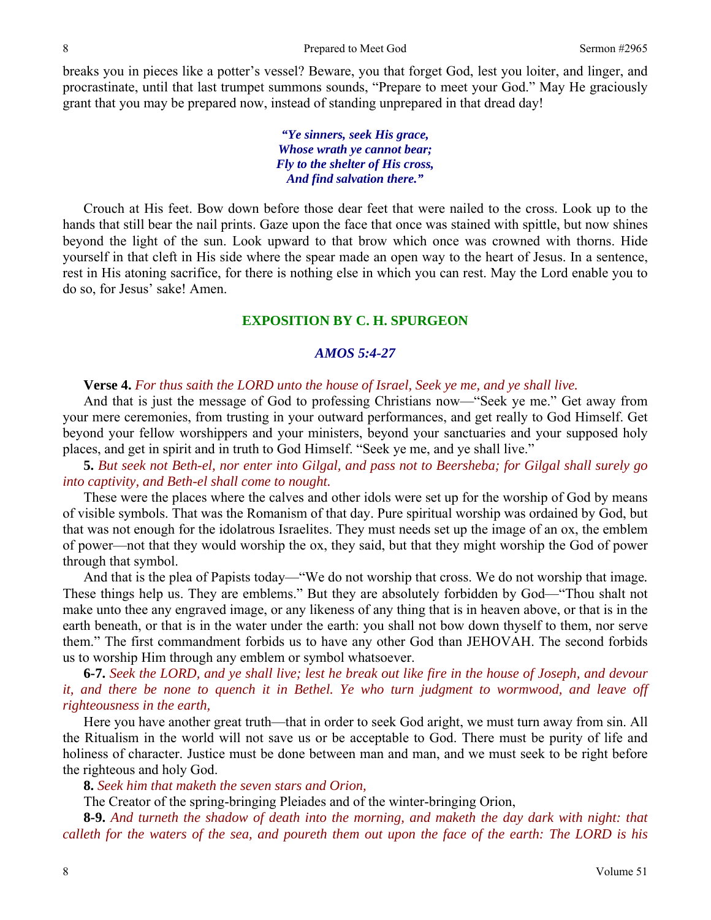breaks you in pieces like a potter's vessel? Beware, you that forget God, lest you loiter, and linger, and procrastinate, until that last trumpet summons sounds, "Prepare to meet your God." May He graciously grant that you may be prepared now, instead of standing unprepared in that dread day!

> *"Ye sinners, seek His grace, Whose wrath ye cannot bear; Fly to the shelter of His cross, And find salvation there."*

Crouch at His feet. Bow down before those dear feet that were nailed to the cross. Look up to the hands that still bear the nail prints. Gaze upon the face that once was stained with spittle, but now shines beyond the light of the sun. Look upward to that brow which once was crowned with thorns. Hide yourself in that cleft in His side where the spear made an open way to the heart of Jesus. In a sentence, rest in His atoning sacrifice, for there is nothing else in which you can rest. May the Lord enable you to do so, for Jesus' sake! Amen.

## **EXPOSITION BY C. H. SPURGEON**

# *AMOS 5:4-27*

### **Verse 4.** *For thus saith the LORD unto the house of Israel, Seek ye me, and ye shall live.*

And that is just the message of God to professing Christians now—"Seek ye me." Get away from your mere ceremonies, from trusting in your outward performances, and get really to God Himself. Get beyond your fellow worshippers and your ministers, beyond your sanctuaries and your supposed holy places, and get in spirit and in truth to God Himself. "Seek ye me, and ye shall live."

**5.** *But seek not Beth-el, nor enter into Gilgal, and pass not to Beersheba; for Gilgal shall surely go into captivity, and Beth-el shall come to nought.* 

These were the places where the calves and other idols were set up for the worship of God by means of visible symbols. That was the Romanism of that day. Pure spiritual worship was ordained by God, but that was not enough for the idolatrous Israelites. They must needs set up the image of an ox, the emblem of power—not that they would worship the ox, they said, but that they might worship the God of power through that symbol.

 And that is the plea of Papists today—"We do not worship that cross. We do not worship that image*.* These things help us. They are emblems." But they are absolutely forbidden by God—"Thou shalt not make unto thee any engraved image, or any likeness of any thing that is in heaven above, or that is in the earth beneath, or that is in the water under the earth: you shall not bow down thyself to them, nor serve them." The first commandment forbids us to have any other God than JEHOVAH. The second forbids us to worship Him through any emblem or symbol whatsoever.

**6-7.** *Seek the LORD, and ye shall live; lest he break out like fire in the house of Joseph, and devour it, and there be none to quench it in Bethel. Ye who turn judgment to wormwood, and leave off righteousness in the earth,* 

Here you have another great truth—that in order to seek God aright, we must turn away from sin. All the Ritualism in the world will not save us or be acceptable to God. There must be purity of life and holiness of character. Justice must be done between man and man, and we must seek to be right before the righteous and holy God.

**8.** *Seek him that maketh the seven stars and Orion,* 

The Creator of the spring-bringing Pleiades and of the winter-bringing Orion,

**8-9.** *And turneth the shadow of death into the morning, and maketh the day dark with night: that calleth for the waters of the sea, and poureth them out upon the face of the earth: The LORD is his*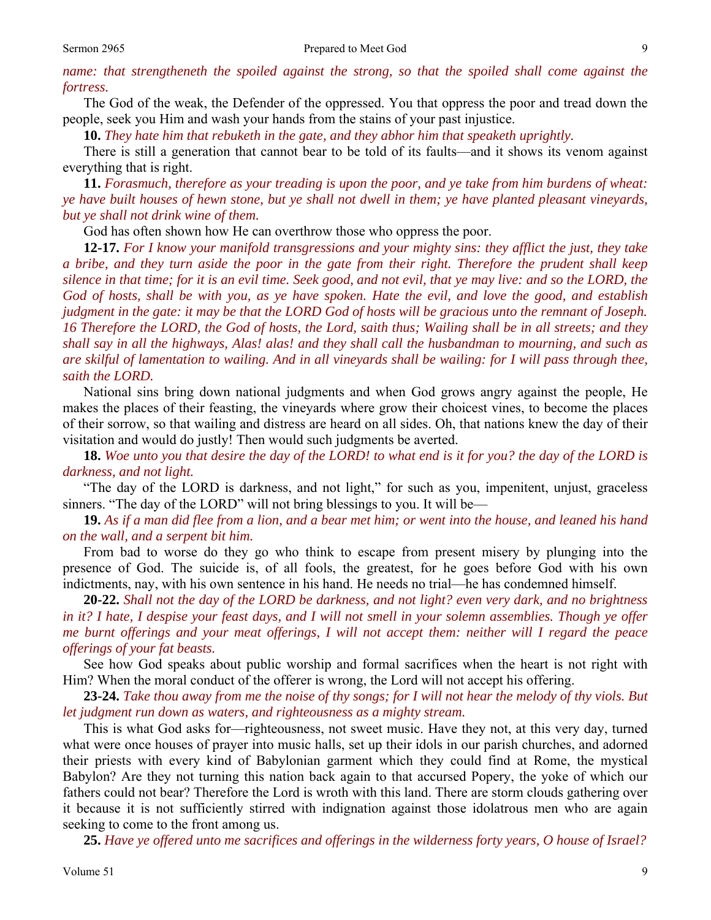The God of the weak, the Defender of the oppressed. You that oppress the poor and tread down the people, seek you Him and wash your hands from the stains of your past injustice.

**10.** *They hate him that rebuketh in the gate, and they abhor him that speaketh uprightly.* 

There is still a generation that cannot bear to be told of its faults—and it shows its venom against everything that is right.

**11.** *Forasmuch, therefore as your treading is upon the poor, and ye take from him burdens of wheat: ye have built houses of hewn stone, but ye shall not dwell in them; ye have planted pleasant vineyards, but ye shall not drink wine of them.* 

God has often shown how He can overthrow those who oppress the poor.

**12-17.** *For I know your manifold transgressions and your mighty sins: they afflict the just, they take a bribe, and they turn aside the poor in the gate from their right. Therefore the prudent shall keep silence in that time; for it is an evil time. Seek good, and not evil, that ye may live: and so the LORD, the God of hosts, shall be with you, as ye have spoken. Hate the evil, and love the good, and establish judgment in the gate: it may be that the LORD God of hosts will be gracious unto the remnant of Joseph. 16 Therefore the LORD, the God of hosts, the Lord, saith thus; Wailing shall be in all streets; and they shall say in all the highways, Alas! alas! and they shall call the husbandman to mourning, and such as are skilful of lamentation to wailing. And in all vineyards shall be wailing: for I will pass through thee, saith the LORD.* 

National sins bring down national judgments and when God grows angry against the people, He makes the places of their feasting, the vineyards where grow their choicest vines, to become the places of their sorrow, so that wailing and distress are heard on all sides. Oh, that nations knew the day of their visitation and would do justly! Then would such judgments be averted.

**18.** *Woe unto you that desire the day of the LORD! to what end is it for you? the day of the LORD is darkness, and not light.* 

"The day of the LORD is darkness, and not light," for such as you, impenitent, unjust, graceless sinners. "The day of the LORD" will not bring blessings to you. It will be—

**19.** *As if a man did flee from a lion, and a bear met him; or went into the house, and leaned his hand on the wall, and a serpent bit him.* 

From bad to worse do they go who think to escape from present misery by plunging into the presence of God. The suicide is, of all fools, the greatest, for he goes before God with his own indictments, nay, with his own sentence in his hand. He needs no trial—he has condemned himself.

**20-22.** *Shall not the day of the LORD be darkness, and not light? even very dark, and no brightness in it? I hate, I despise your feast days, and I will not smell in your solemn assemblies. Though ye offer me burnt offerings and your meat offerings, I will not accept them: neither will I regard the peace offerings of your fat beasts.* 

See how God speaks about public worship and formal sacrifices when the heart is not right with Him? When the moral conduct of the offerer is wrong, the Lord will not accept his offering.

**23-24.** *Take thou away from me the noise of thy songs; for I will not hear the melody of thy viols. But let judgment run down as waters, and righteousness as a mighty stream.* 

This is what God asks for—righteousness, not sweet music. Have they not, at this very day, turned what were once houses of prayer into music halls, set up their idols in our parish churches, and adorned their priests with every kind of Babylonian garment which they could find at Rome, the mystical Babylon? Are they not turning this nation back again to that accursed Popery, the yoke of which our fathers could not bear? Therefore the Lord is wroth with this land. There are storm clouds gathering over it because it is not sufficiently stirred with indignation against those idolatrous men who are again seeking to come to the front among us.

**25.** *Have ye offered unto me sacrifices and offerings in the wilderness forty years, O house of Israel?*